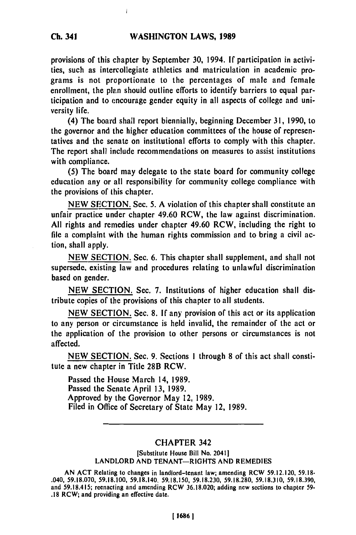#### **WASHINGTON LAWS, 1989**

provisions **of** this chapter **by** September **30,** 1994. **If** participation in activities, such as intercollegiate athletics and matriculation in academic programs is not proportionate to the percentages of male and female enrollment, the plan should outline efforts to identify barriers to equal participation and to encourage gender equity in all aspects of college and university life.

(4) The board shall report biennially, beginning December **31, 1990,** to the governor and the higher education committees of the house of representatives and the senate on institutional **efforts** to comply with this chapter. The report shall include recommendations on measures to assist institutions with compliance.

**(5)** The board may delegate to the state board for community college education any or all responsibility for community college compliance with the provisions of this chapter.

**NEW SECTION.** Sec. **5. A** violation of this chapter shall constitute an unfair practice under chapter 49.60 RCW, the law against discrimination. **All** rights and remedies under chapter 49.60 RCW, including the right to file a complaint with the human rights commission and to bring a civil action, shall apply.

**NEW SECTION.** Sec. **6.** This chapter shall supplement, and shall not supersede, existing law and procedures relating to unlawful discrimination based on gender.

NEW **SECTION.** Sec. **7.** Institutions of higher education shall distribute copies of the provisions of this chapter to all students.

**NEW SECTION.** Sec. **8. If** any provision of this act or its application to any person or circumstance is **held** invalid, the remainder of the act or the application of the provision to other persons or circumstances is not affected.

**NEW SECTION.** Sec. **9.** Sections **1** through **8** of this act shall constitute a new chapter in Title 28B RCW.

Passed the House March 14, **1989.** Passed the Senate April **13, 1989.** Approved **by** the Governor May 12, **1989.** Filed in Office of Secretary of State May 12, **1989.**

## CHAPTER 342

[Substitute House Bill No. 2041] LANDLORD **AND TENANT-RIGHTS AND** REMEDIES

**AN ACT** Relating to changes in landlord-tenant law; amending RCW **59.12.120, 59.18-** .040, **59.18.070, 59.18.100, 59.18.140, 59.18.150, 59.18.230, 59.18.280, 59.18.310, 59.18.390,** and **59.18.415;** reenacting and amending RCW **36.18.020;** adding new sections to chapter **59- .18** RCW; and providing an effective date.

**Ch. 341**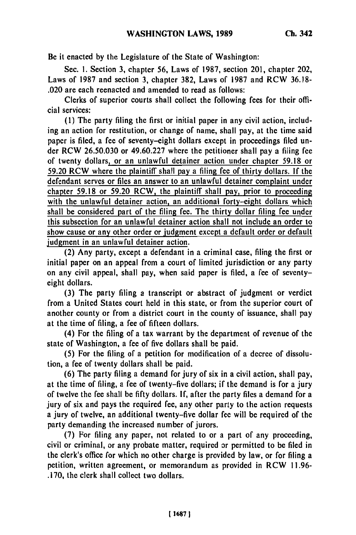Be it enacted **by** the Legislature of the State of Washington:

Sec. **1.** Section **3,** chapter **56,** Laws of **1987,** section 201, chapter 202, Laws of **1987** and section **3,** chapter **382,** Laws of **1987** and RCW **36.18-** .020 are each reenacted and amended to read as follows:

Clerks of superior courts shall collect the following fees for their official services:

**(1)** The party filing the first or initial paper in any civil action, including an action for restitution, or change of name, shall pay, at the time said paper is filed, a fee of seventy-eight dollars except in proceedings filed under RCW **26.50.030** or **49.60.227** where the petitioner shall pay a filing fee of twenty dollars, or an unlawful detainer action under chapter **59.18** or **59.20** RCW where the plaintiff shall pay a filing fee of thirty dollars. **If** the defendant serves or files an answer to an unlawful detainer complaint under chapter **59.18** or **59.20** RCW, the plaintiff shall pay, prior to proceeding with the unlawful detainer action, an additional forty-eight dollars which shall be considered part of the filing fee. The thirty dollar filing fee under this subsection for an unlawful detainer action shall not include an order to show cause or any other order or judgment except a default order or default judgment in an unlawful detainer action.

(2) Any party, except a defendant in a criminal case, filing the first or initial paper on an appeal from a court of limited jurisdiction or any party on any civil appeal, shall pay, when said paper is filed, a fee of seventyeight dollars.

**(3)** The party filing a transcript or abstract of judgment or verdict from a United States court held in this state, or from the superior court of another county or from a district court in the county of issuance, shall pay at the time of filing, a fee of fifteen dollars.

(4) For the filing of a tax warrant **by** the department of revenue of the state of Washington, a fee of five dollars shall be paid.

**(5)** For the filing of a petition for modification of a decree of dissolution, a fee of twenty dollars shall be paid.

**(6)** The party filing a demand for jury of six in a civil action, shall pay, at the time of filing, a fee of twenty-five dollars; if the demand is for a jury of twelve the fee shall be **fifty** dollars. **If,** after the party files a demand for a jury of six and pays the required fee, any other party to the action requests a jury of twelve, an additional twenty-five dollar fee will be required of the party demanding the increased number of jurors.

**(7)** For filing any paper, not related to or a part of any proceeding, civil or criminal, or any probate matter, required or permitted to **be** filed in the clerk's office for which no other charge is provided **by** law, or for filing a petition, written agreement, or memorandum as provided in RCW **11.96- .170,** the clerk shall collect two dollars.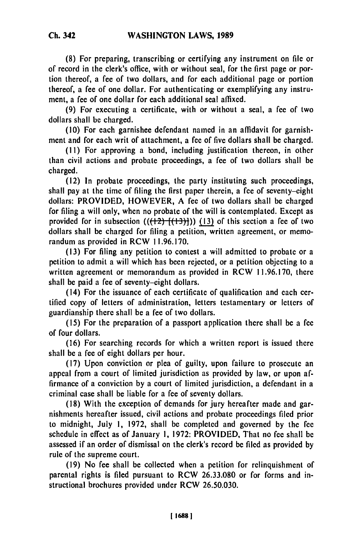**(8)** For preparing, transcribing or certifying any instrument on file or of record in the clerk's office, with or without seal, for the first page or portion thereof, a fee of two dollars, and for each additional page or portion thereof, a fee of one dollar. For authenticating or exemplifying any instrument, a fee of one dollar for each additional seal affixed.

(9) For executing a certificate, with or without a seal, a fee of two dollars shall **be** charged.

(10) For each garnishee defendant named in an affidavit for garnishment and for each writ of attachment, a fee of five dollars shall be charged.

**(11)** For approving a bond, including justification thereon, in other than civil actions and probate proceedings, a fee of two dollars shall be charged.

(12) In probate proceedings, the party instituting such proceedings, shall pay at the time of filing the first paper therein, a fee of seventy-eight dollars: PROVIDED, HOWEVER, A fee of two dollars shall **be** charged for filing a will only, when no probate of the will is contemplated. Except as provided for in subsection  $((12)$ <sup>{(13)}</sup>]) (13) of this section a fee of two dollars shall be charged for filing a petition, written agreement, or memorandum as provided in RCW 11.96.170.

(13) For filing any petition to contest a will admitted to probate or a petition to admit a will which has been rejected, or a petition objecting to a written agreement or memorandum as provided in RCW 11.96.170, there shall be paid a fee of seventy-eight dollars.

(14) For the issuance of each certificate of qualification and each certified copy of letters of administration, letters testamentary or letters of guardianship there shall be a fee of two dollars.

(15) For the preparation of a passport application there shall be a fee of four dollars.

(16) For searching records for which a written report is issued there shall be a fee of eight dollars per hour.

(17) Upon conviction or plea of guilty, upon failure to prosecute an appeal from a court of limited jurisdiction as provided by law, or upon affirmance of a conviction by a court of limited jurisdiction, a defendant in a criminal case shall be liable for a fee of seventy dollars.

(18) With the exception of demands for jury hereafter made and garnishments hereafter issued, civil actions and probate proceedings filed prior to midnight, July 1, 1972, shall be completed and governed by the fee schedule in effect as of January 1, 1972: PROVIDED, That no fee shall be assessed if an order of dismissal on the clerk's record be filed as provided by rule of the supreme court.

(19) No fee shall be collected when a petition for relinquishment of parental rights is filed pursuant to RCW 26.33.080 or for forms and instructional brochures provided under RCW 26.50.030.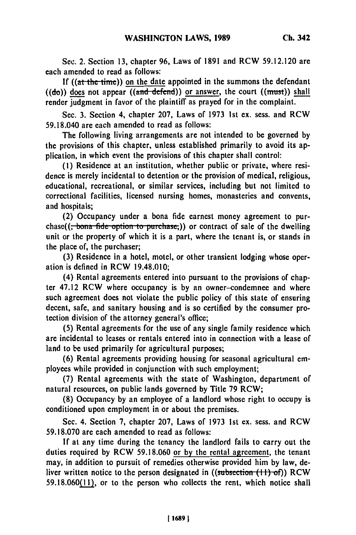**See.** 2. Section **13,** chapter **96,** Laws of 1891 and RCW **59.12.120** are each amended to read as follows:

If  $((at the time))$  on the date appointed in the summons the defendant  $((d\sigma))$  does not appear  $((\text{and } \text{defined}))$  or answer, the court  $((\text{must}))$  shall render judgment in favor of the plaintiff as prayed for in the complaint.

Sec. **3.** Section 4, chapter **207,** Laws of **1973 1st** ex. sess. and RCW 59.18.040 are each amended to read as follows:

The following living arrangements are not intended to be governed **by** the provisions of this chapter, unless established primarily to avoid its application, in which event the provisions of this chapter shall control:

**(1)** Residence at an institution, whether public or private, where residence is merely incidental to detention or the provision of medical, religious, educational, recreational, or similar services, including but not limited to correctional facilities, licensed nursing homes, monasteries and convents, and hospitals;

(2) Occupancy under a bona fide earnest money agreement to purchase((<del>, bona fide option to purchase,</del>)) or contract of sale of the dwelling unit or the property of which it is a part, where the tenant is, or stands in the place of, the purchaser;

**(3)** Residence in a hotel, motel, or other transient lodging whose operation is defined in RCW 19.48.010;

(4) Rental agreements entered into pursuant to the provisions of chapter 47.12 RCW where occupancy is by an owner-condemnee and where such agreement does not violate the public policy of this state of ensuring decent, safe, and sanitary housing and is so certified by the consumer protection division of the attorney general's office;

(5) Rental agreements for the use of any single family residence which are incidental to leases or rentals entered into in connection with a lease of land to be used primarily for agricultural purposes;

(6) Rental agreements providing housing for seasonal agricultural employees while provided in conjunction with such employment;

(7) Rental agreements with the state of Washington, department of natural resources, on public lands governed by Title 79 RCW;

(8) Occupancy by an employee of a landlord whose right to occupy is conditioned upon employment in or about the premises.

Sec. 4. Section 7, chapter 207, Laws of 1973 1st ex. sess. and RCW 59.18.070 are each amended to read as follows:

If at any time during the tenancy the landlord fails to carry out the duties required by RCW 59.18.060 or **by** the rental agreement, the tenant may, in addition to pursuit of remedies otherwise provided him by law, deliver written notice to the person designated in ((subsection (11) of)) RCW 59.18.060(11), or to the person who collects the rent, which notice shall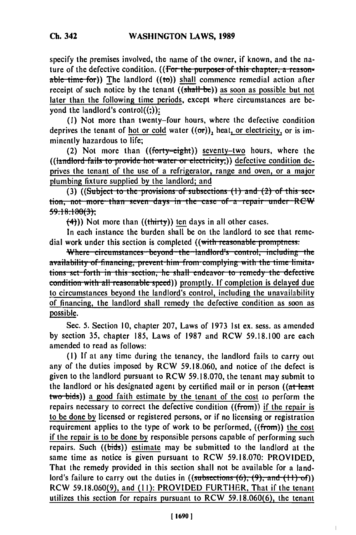specify the premises involved, the name of the owner, if known, and the nature of the defective condition. ((For the purposes of this chapter, a reasonable time for)) The landlord ((to)) shall commence remedial action after receipt of such notice by the tenant ((shall-be)) as soon as possible but not later than the following time periods, except where circumstances are beyond the landlord's control $((:)$ :

**(I)** Not more than twenty-four hours, where the defective condition deprives the tenant of hot or cold water  $((\sigma r))$ , heat, or electricity, or is imminently hazardous to life;

(2) Not more than  $((forty=eight))$  seventy-two hours, where the ((landlord fails to provide hot water or electricity;)) defective condition deprives the tenant of the use of a refrigerator, range and oven, or a major plumbing fixture supplied by the landlord; and **(3)** ((Subject to the provisions of subsections (1) and (2) of this sec-

tion, not more than seven days in the case of a repair under RCW **59.! 8.!8603j**

**(4-))** Not more than ((thirty)) ten days in all other cases.

In each instance the burden shall be on the landlord to see that remedial work under this section is completed ((with reasonable promptness:

Where circumstances beyond the landlord's control, including the *availability of financing, prevent him from complying with the time limita-***<br>tions set forth in this section, he shall endeavor to remedy the defective** condition with all reasonable speed)) promptly. If completion is delayed due to circumstances beyond the landlord's control, including the unavailability of financing, the landlord shall remedy the defective condition as soon as possible.

Sec. 5. Section 10, chapter 207, Laws of 1973 Ist ex. sess. as amended by section 35, chapter 185, Laws of 1987 and RCW 59.18.100 are each amended to read as follows:

(I) If at any time during the tenancy, the landlord fails to carry out any of the duties imposed by RCW 59.18.060, and notice of the defect is given to the landlord pursuant to RCW 59.18.070, the tenant may submit to the landlord or his designated agent by certified mail or in person  $($ (at least two-bids)) a good faith estimate **by** the tenant of the cost to perform the repairs necessary to correct the defective condition ((from)) if the repair is to be done **by** licensed or registered persons, or if no licensing or registration requirement applies to the type of work to be performed,  $((from))$  the cost if the repair is to be done **by** responsible persons capable of performing such repairs. Such ((bids)) estimate may be submitted to the landlord at the same time as notice is given pursuant to RCW 59.18.070: PROVIDED, That the remedy provided in this section shall not be available for a landlord's failure to carry out the duties in  $((subsections (6), (9), and (1))$ RCW 59.18.060(9), and (1I): PROVIDED FURTHER, That if the tenant utilizes this section for repairs pursuant to RCW 59.18.060(6), the tenant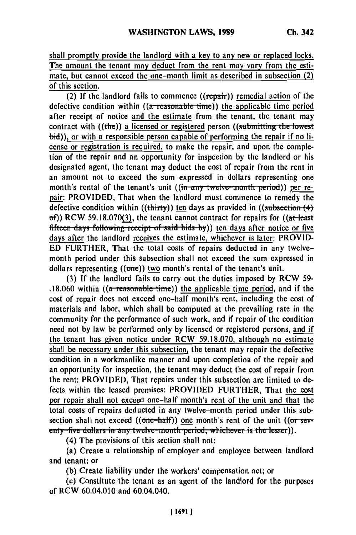shall promptly provide the landlord with a key to any new or replaced locks. The amount the tenant may deduct from the rent may vary from the estimate, but cannot exceed the one-month limit as described in subsection  $(2)$ of this section.

(2) If the landlord fails to commence  $((\text{repair}))$  remedial action of the defective condition within  $((a$  reasonable time)) the applicable time period after receipt of notice and the estimate from the tenant, the tenant may contract with ((the)) a licensed or registered person ((submitting the lowest bid)), or with a responsible person capable of performing the repair if no license or registration is required, to make the repair, and upon the completion of the repair and an opportunity for inspection **by** the landlord or his designated agent, the tenant may deduct the cost of repair from the rent in an amount not to exceed the sum expressed in dollars representing one month's rental of the tenant's unit ((in any twelve-month period)) per repair: PROVIDED, That when the landlord must commence to remedy the defective condition within ((thirty)) ten days as provided in ((subsection (4)  $of)$ ) RCW 59.18.070(3), the tenant cannot contract for repairs for ((at least fifteen days following receipt of said bids by)) ten days after notice or five days after the landlord receives the estimate, whichever is later: PROVID-**ED** FURTHER, That the total costs of repairs deducted in any twelvemonth period under this subsection shall not exceed the sum expressed in dollars representing ((one)) two month's rental of the tenant's unit.

**(3) If** the landlord fails to carry out the duties imposed **by** RCW **59-** .18.060 within ((a **reasonable time)**) the applicable time period, and if the cost of repair does not exceed one-half month's rent, including the cost of materials and labor, which shall be computed at the prevailing rate in the community for the performance of such work, and if repair of the condition need not **by** law be performed only **by** licensed or registered persons, and if the tenant has given notice under RCW 59.18.070, although no estimate shall be necessary under this subsection, the tenant may repair the defective condition in a workmanlike manner and upon completion of the repair and an opportunity for inspection, the tenant may deduct the cost of repair from the rent: PROVIDED, That repairs under this subsection are limited to de**fects** within the leased premises: PROVIDED FURTHER, That the cost per repair shall not exceed one-half month's rent of the unit and that the total costs of repairs deducted in any twelve-month period under this subsection shall not exceed ((one-balf)) one month's rent of the unit ((or-seextrem shall not exceed ((one hany) one months fent of the unit  $\sqrt{ }$ enty-five dollars in any twelve-month period, whichever is the lesser)).<br>(4) The provisions of this section shall not:

(a) Create a relationship of employer and employee between landlord and tenant; or

**(b)** Create liability under the workers' compensation act; or

(c) Constitute the tenant as an agent of the landlord for the purposes of RCW 60.04.010 and 60.04.040.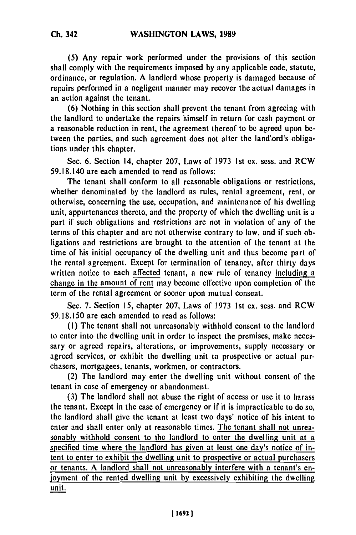**(5)** Any repair work performed under the provisions of this section shall comply with the requirements imposed **by** any applicable code, statute, ordinance, or regulation. A landlord whose property is damaged because of repairs performed in a negligent manner may recover the actual damages in an action against the tenant.

**(6)** Nothing in this section shall prevent the tenant from agreeing with the landlord to undertake the repairs himself in return for cash payment or a reasonable reduction in rent, the agreement thereof to be agreed upon between the parties, and such agreement does not alter the landlord's obligations under this chapter.

Sec. 6. Section 14, chapter **207,** Laws of **1973** 1st ex. sess. and RCW 59.18.140 are each amended to read as follows:

The tenant shall conform to all reasonable obligations or restrictions, whether denominated **by** the landlord as rules, rental agreement, rent, or otherwise, concerning the use, occupation, and maintenance of his dwelling unit, appurtenances thereto, and the property of which the dwelling unit is a part if such obligations and restrictions are not in violation of any of the terms of this chapter and are not otherwise contrary to law, and if such obligations and restrictions **are** brought to the attention of the tenant at the time of his initial occupancy of the dwelling unit and thus become part of the rental agreement. Except for termination of tenancy, after thirty days written notice to each affected tenant, a new rule of tenancy including a change in the amount of rent may become effective upon completion of the term of the rental agreement or sooner upon mutual consent.

Sec. 7. Section **15,** chapter **207,** Laws of **1973 1st** ex. sess. and RCW 59.18.150 are each amended to read as follows:

**(1)** The tenant shall not unreasonably withhold consent to the landlord to enter into the dwelling unit in order to inspect the premises, make necessary or agreed repairs, alterations, or improvements, supply necessary or agreed services, or exhibit the dwelling unit to prospective or actual purchasers, mortgagees, tenants, workmen, or contractors.

(2) The landlord may enter the dwelling unit without consent of the tenant in case of emergency or abandonment.

**(3)** The landlord shall not abuse the right of access or use it to harass the tenant. Except in the case of emergency or if it is impracticable to do so, the landlord shall give the tenant at least two days' notice of his intent to enter and shall enter only at reasonable times. The tenant shall not unreasonably withhold consent to the landlord to enter the dwelling unit at a specified time where the landlord has given at least one day's notice of intent to enter to exhibit the dwelling unit to prospective or actual purchasers or tenants. A landlord shall not unreasonably interfere with a tenant's **en**joyment of the rented dwelling unit **by** excessively exhibiting the dwelling unit.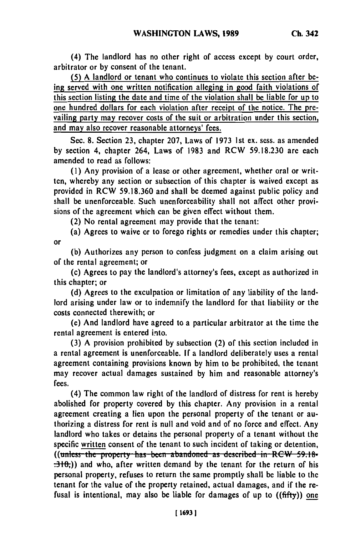(4) The landlord has no other right of access except **by** court order, arbitrator or **by** consent of the tenant.

**(5)** A landlord or tenant who continues to violate this section after being served with one written notification alleging in good faith violations of this section listing the date and time of the violation shall be liable for up to one hundred dollars for each violation after receipt of the notice. The prevailing party may recover costs of the suit or arbitration under this section, and may also recover reasonable attorneys' fees.

Sec. 8. Section **23,** chapter 207, Laws of **1973 1st** ex. sess. as amended **by** section 4, chapter 264, Laws of 1983 and RCW **59.18.230** are each amended to read as follows:

**(1)** Any provision of a lease or other agreement, whether oral or written, whereby any section or subsection of this chapter is waived except as provided in RCW 59.18.360 and shall be deemed against public policy and shall be unenforceable. Such unenforceability shall not affect other provisions of the agreement which can be given effect without them.

(2) No rental agreement may provide that the tenant:

(a) Agrees to waive or to forego rights or remedies under this chapter; or

**(b)** Authorizes any person to confess judgment on a claim arising out of the rental agreement; or

(c) Agrees to pay the landlord's attorney's fees, except as authorized in this chapter; or

**(d)** Agrees to the exculpation or limitation of any liability of the landlord arising under law or to indemnify the landlord for that liability or the costs connected therewith; or

(e) And landlord have agreed to a particular arbitrator at the time the rental agreement is entered into.

**(3)** A provision prohibited **by** subsection (2) of this section included in a rental agreement is unenforceable. **If** a landlord deliberately uses a rental agreement containing provisions known **by** him to be prohibited, the tenant may recover actual damages sustained **by** him and reasonable attorney's fees.

(4) The common law right of the landlord of distress for rent is hereby abolished for property covered **by** this chapter. Any provision in a rental agreement creating a lien upon the personal property of the tenant or authorizing a distress for rent is null and void and of no force and effect. Any landlord who takes or detains the personal property of a tenant without the specific written consent of the tenant to such incident of taking or detention, ((unless the property has been abandoned as described in RCW 59.18-<br>
<del>.310,</del>)) and who, after written demand by the tenant for the return of his personal property, refuses to return the same promptly shall be liable to the tenant for the value of the property retained, actual damages, and if the refusal is intentional, may also be liable for damages of up to **((fifty)) one**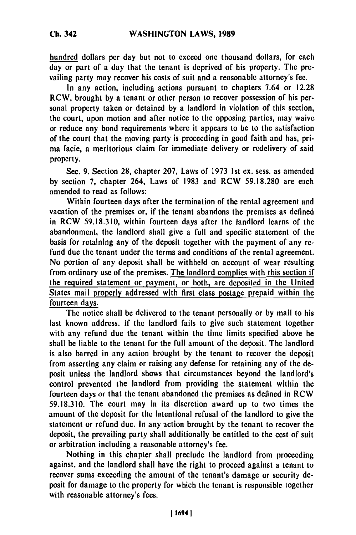hundred dollars per day but not to exceed one thousand dollars, for each day or part of a day that the tenant is deprived of his property. The prevailing party may recover his costs of suit and a reasonable attorney's fee.

In any action, including actions pursuant to chapters 7.64 or **12.28** RCW, brought **by** a tenant or other person to recover possession of his personal property taken or detained **by** a landlord in violation of this section, the court, upon motion and after notice to the opposing parties, may waive or reduce any bond requirements where it appears to be to the satisfaction of the court that the moving party is proceeding in good faith and has, prima facie, a meritorious claim for immediate delivery or redclivery of said property.

Sec. **9.** Section **28,** chapter **207,** Laws of **1973 1st** ex. sess. as amended **by** section **7,** chapter 264, Laws of **1983** and RCW **59.18.280** are each amended to read as follows:

Within fourteen days after the termination of the rental agreement and vacation of the premises or, if the tenant abandons the premises as defined in RCW **59.18.310,** within fourteen days after the landlord learns of the abandonment, the landlord shall give a full and specific statement of the basis for retaining any of the deposit together with the payment of any refund due the tenant under the terms and conditions of the rental agreement. No portion of any deposit shall be withheld on account of wear resulting from ordinary use of the premises. The landlord complies with this section if the required statement or payment, or both, are deposited in the United States mail properly addressed with first class postage prepaid within the fourteen days.

The notice shall be delivered to the tenant personally or **by** mail to his last known address. **If** the landlord fails to give such statement together with any refund due the tenant within the time limits specified above he shall be liable to the tenant for the full amount of the deposit. The landlord is also barred in any action brought **by** the tenant to recover the deposit from asserting any claim or raising any defense for retaining any of the **de**posit unless the landlord shows that circumstances beyond the landlord's control prevented the landlord from providing the statement within the fourteen days or that the tenant abandoned the premises as defined in RCW **59.18.310.** The court may in its discretion award up to two times the amount of the deposit for the intentional refusal of the landlord to give the statement or refund due. In any action brought **by** the tenant to recover the deposit, the prevailing party shall additionally **be** entitled to the cost of suit or arbitration including a reasonable attorney's fee.

Nothing in this chapter shall preclude the landlord from proceeding against, and the landlord shall have the right to proceed against a tenant to recover sums exceeding the amount of the tenant's damage or security deposit for damage to the property for which the tenant is responsible together with reasonable attorney's fees.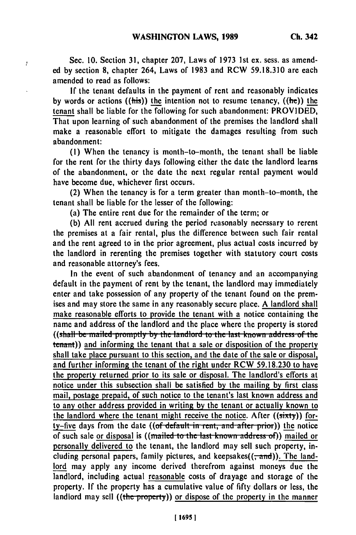Sec. **10.** Section **31,** chapter **207,** Laws of **1973 1st** ex. sess. as amended **by** section **8,** chapter 264, Laws of **1983** and RCW **59.18.310** are each amended to read as follows:

ł

**If** the tenant defaults in the payment of rent and reasonably indicates **by** words or actions ((his)) the intention not to resume tenancy, ((he)) **the** tenant shall be liable for **the** following for such abandonment: PROVIDED, That upon learning of such abandonment of the premises the landlord shall make a reasonable effort to mitigate the damages resulting from such abandonment:

**(1)** When the tenancy is month-to-month, the tenant shall be liable for the rent for the thirty days following either the date the landlord learns of the abandonment, or the date the next regular rental payment would have become due, whichever first occurs.

(2) When the tenancy is for a term greater than month-to-month, the tenant shall be liable for the lesser of the following:

(a) The entire rent due for the remainder of the term; or

**(b) All** rent accrued during the period reasonably necessary to rerent the premises at a fair rental, plus the difference between such fair rental and the rent agreed to in the prior agreement, plus actual costs incurred **by** the landlord in rerenting the premises together with statutory court costs and reasonable attorney's fees.

In the event of such abandonment of tenancy and an accompanying default in the payment of rent **by** the tenant, the landlord may immediately enter and take possession of any property of the tenant found on the premises and may store the same in any reasonably secure place. A landlord shall make reasonable efforts to provide the tenant with a notice containing the name and address of the landlord and the place where the property is stored ((shall be mailed promptly by the landlord to the last known address of the tenant)) and informing the tenant that a sale or disposition of the property shall take place pursuant to this section, and the date of the sale or disposal, and further informing the tenant of the right under RCW **59.18.230** to have the property returned prior to its sale or disposal. The landlord's efforts at notice under this subsection shall be satisfied **by** the mailing **by** first class mail, postage prepaid, of such notice to the tenant's last known address and to any other address provided in writing **by** the tenant or actually known to the landlord where the tenant might receive the notice. After ((sixty)) forty-five days from the date ((of default in rent, and after prior)) the notice of such sale or disposal is ((mailed to the last known address of)) mailed or personally delivered to the tenant, the landlord may sell such property, including personal papers, family pictures, and keepsakes $((\frac{1}{2}and))$ . The landlord may apply any income derived therefrom against moneys due the landlord, including actual reasonable costs of drayage and storage of the property. **If** the property has a cumulative value of **fifty** dollars or less, the landlord may sell ((the property)) or dispose of the property in the manner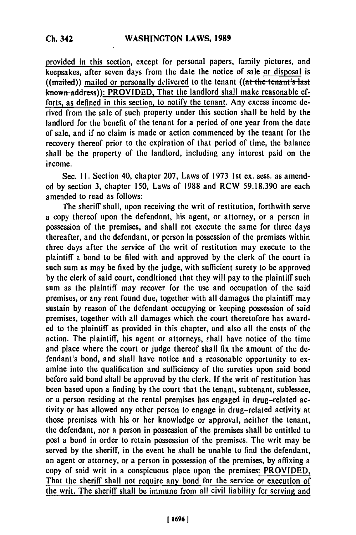provided in this section, except for personal papers, family pictures, and keepsakes, after seven days from the date the notice of sale or disposal is ((mailed)) mailed or personally delivered to the tenant ((at the tenant's last) known **addess)):** PROVIDED, That the landlord shall make reasonable efforts, as defined in this section, to notify the tenant. Any excess income derived from the sale of such property under this section shall be held **by** the landlord for the benefit of the tenant for a period of one year from the date of sale, and if no claim is made or action commenced **by** the tenant for the recovery thereof prior to the expiration of that period of time, the balance shall be the property of the landlord, including any interest paid on the income.

Sec. **11.** Section 40, chapter **207,** Laws of **1973** 1st **ex.** sess. as amend**ed by** section **3,** chapter **150,** Laws of **1988** and RCW **59.18,390** are each amended to read as follows:

The sheriff shall, upon receiving the writ of restitution, forthwith serve a copy thereof upon the defendant, his agent, or attorney, or a person in possession of the premises, and shall not execute the same for three days thereafter, and the defendant, or person in possession of the premises within three days after the service of the writ of restitution may execute to the plaintiff a bond to be filed with and approved **by** the clerk of the court in such sum as may **be** fixed **by** the judge, with sufficient surety to be approved **by** the clerk of said court, conditioned that they will pay to the plaintiff such sum as the plaintiff may recover for the use and occupation of the said premises, or any rent found due, together with all damages the plaintiff may sustain **by** reason of the defendant occupying or keeping possession of said premises, together with all damages which the court theretofore has awarded to the plaintiff as provided in this chapter, and also all the costs of the action. The plaintiff, his agent or attorneys, shall have notice of the time and place where the court or judge thereof shall fix the amount of the defendant's bond, and shall have notice and a reasonable opportunity to examine into the qualification and sufficiency of the sureties upon said bond before said bond shall **be** approved **by** the clerk. **If** the writ of restitution has been based upon a finding **by** the court that the tenant, subtenant, sublessee, or a person residing at the rental premises has engaged in drug-related activity or has allowed any other person to engage in drug-related activity at those premises with his or her knowledge or approval, neither the tenant, the defendant, nor a person in possession of the premises shall be entitled to post a bond in order to retain possession of the premises. The writ may be served **by** the sheriff, in the event he shall be unable to find the defendant, an agent or attorney, or a person in possession of the premises, **by** affixing a copy of said writ in a conspicuous place upon the premises: PROVIDED, That the sheriff shall not require any bond for the service or execution of the writ. The sheriff shall be immune from all civil liability for serving and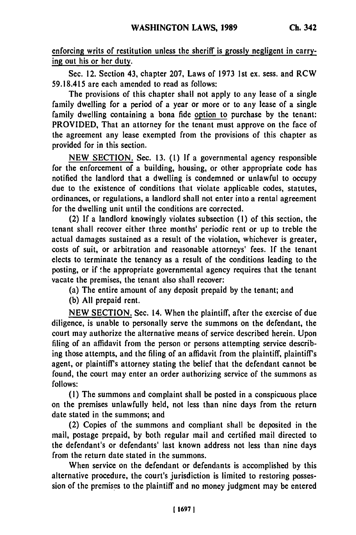enforcing writs of restitution unless the sheriff is grossly negligent in carrying out his or her duty.

Sec. 12. Section 43, chapter **207,** Laws of **1973 1st** ex. sess. and RCW **59.18.415** are each amended to read as follows:

The provisions of this chapter shall not apply to any lease of a single family dwelling for a period of a year or more or to any lease of a single family dwelling containing a bona fide option to purchase **by** the tenant: PROVIDED, That an attorney for the tenant must approve on the face of the agreement any lease exempted from the provisions of this chapter as provided for in this section.

**NEW SECTION.** Sec. **13. (1) If** a governmental agency responsible for the enforcement of a building, housing, or other appropriate code has notified the landlord that a dwelling is condemned or unlawful to occupy due to the existence of conditions that violate applicable codes, statutes, ordinances, or regulations, a landlord shall not enter into a rental agreement for the dwelling unit until the conditions **arc** corrected.

(2) **If** a landlord knowingly violates subsection **(1)** of this section, the tenant shall recover either three months' periodic rent or up to treble the actual damages sustained as a result of the violation, whichever is greater, costs of suit, or arbitration and reasonable attorneys' fees. **If** the tenant elects to terminate the tenancy as a result of the conditions leading to the posting, or if the appropriate governmental agency requires that the tenant vacate the premises, the tenant also shall recover:

(a) The entire amount of any deposit prepaid **by** the tenant; and

**(b) All** prepaid rent.

**NEW SECTION.** Sec. 14. When the plaintiff, after the exercise of due diligence, is unable to personally serve the summons on the defendant, the court may authorize the alternative means of service described herein. Upon filing of an affidavit from the person or persons attempting service describing those attempts, and the filing of an affidavit from the plaintiff, plaintiff's agent, or plaintiff's attorney stating the belief that the defendant cannot be found, the court may enter an order authorizing service of the summons as **follows:**

**(1)** The summons and complaint shall be posted in a conspicuous place on the premises unlawfully held, not less than nine days from the return date stated in the summons; and

(2) Copies of the summons and compliant shall be deposited in the mail, postage prepaid, **by** both regular mail and certified mail directed to the defendant's or defendants' last known address not less than nine days from the return date stated in the summons.

When service on the defendant or defendants is accomplished **by** this alternative procedure, the court's jurisdiction is limited to restoring possession of the premises to the plaintiff and no money judgment may be entered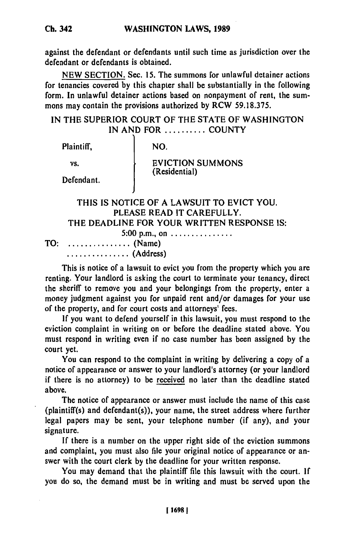against the defendant or defendants until such time as jurisdiction over the defendant or defendants is obtained.

**NEW SECTION.** Sec. **15.** The summons for unlawful detainer actions for tenancies covered **by** this chapter shall be substantially in the following form. In unlawful detainer actions based on nonpayment of rent, the summons may contain the provisions authorized **by** RCW **59.18.375.**

# **IN** THE SUPERIOR **COURT** OF THE **STATE** OF **WASHINGTON IN AND** FOR .......... **COUNTY**

| NO.                                                                                                                  |
|----------------------------------------------------------------------------------------------------------------------|
| <b>EVICTION SUMMONS</b>                                                                                              |
| (Residential)                                                                                                        |
| THIS IS NOTICE OF A LAWSUIT TO EVICT YOU.<br>PLEASE READ IT CAREFULLY.<br>THE DEADLINE FOR YOUR WRITTEN RESPONSE IS: |
| 5:00 p.m., on<br>(Name)                                                                                              |
|                                                                                                                      |

............. (Address)

This is notice of a lawsuit to evict you from the property which you are renting. Your landlord is asking the court to terminate your tenancy, direct the sheriff to remove you and your belongings from the property, enter a money judgment against you for unpaid rent and/or damages for your use of the property, and for court costs and attorneys' fees.

**If** you want to defend yourself in this lawsuit, you must respond to the eviction complaint in writing on or before the deadline stated above. You must respond in writing even if no case number has been assigned **by** the court yet.

You can respond to the complaint in writing **by** delivering a copy of a notice of appearance or answer to your landlord's attorney (or your landlord if there is no attorney) to be received no later than the deadline stated above.

The notice of appearance or answer must include the name of this case (plaintiff(s) and defendant(s)), your name, the street address where further legal papers may be sent, your telephone number (if any), and your signature.

**If** there is a number on the upper right side of the eviction summons and complaint, you must also file your original notice of appearance or answer with the court clerk **by** the deadline for your written response.

You may demand that the plaintiff file this lawsuit with the court. **If** you do so, the demand must be in writing and must be served upon the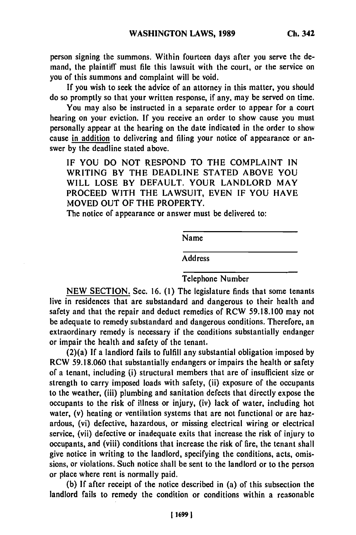person signing the summons. Within fourteen days after you serve the demand, the plaintiff must file this lawsuit with the court, or the service on you of this summons and complaint will be void.

If you wish to seek the advice of an attorney in this matter, you should do so promptly so that your written response, if any, may be served on time.

You may also be instructed in a separate order to appear for a court hearing on your eviction. If you receive an order to show cause you must personally appear at the hearing on the date indicated in the order to show cause in addition to delivering and filing your notice of appearance or answer by the deadline stated above.

IF YOU DO NOT RESPOND TO THE COMPLAINT IN WRITING BY THE DEADLINE STATED ABOVE YOU WILL LOSE BY DEFAULT. YOUR LANDLORD MAY PROCEED WITH THE LAWSUIT, EVEN IF YOU HAVE MOVED OUT OF THE PROPERTY.

The notice of appearance or answer must be delivered to:

Name

Address

## Telephone Number

NEW SECTION. Sec. 16. (1) The legislature finds that some tenants live in residences that are substandard and dangerous to their health and safety and that the repair and deduct remedies of RCW 59.18.100 may not be adequate to remedy substandard and dangerous conditions. Therefore, an extraordinary remedy is necessary if the conditions substantially endanger or impair the health and safety of the tenant.

(2)(a) **If** a landlord fails to fulfill any substantial obligation imposed by RCW 59.18.060 that substantially endangers or impairs the health or safety of a tenant, including (i) structural members that are of insufficient size or strength to carry imposed loads with safety, (ii) exposure of the occupants to the weather, (iii) plumbing and sanitation defects that directly expose the occupants to the risk of illness or injury, (iv) lack of water, including hot water, (v) heating or ventilation systems that are not functional or are hazardous, (vi) defective, hazardous, or missing electrical wiring or electrical service, (vii) defective or inadequate exits that increase the risk of injury to occupants, and (viii) conditions that increase the risk of fire, the tenant shall give notice in writing to the landlord, specifying the conditions, acts, omissions, or violations. Such notice shall be sent to the landlord or to the person or place where rent is normally paid.

(b) If after receipt of the notice described in (a) of this subsection the landlord fails to remedy the condition or conditions within a reasonable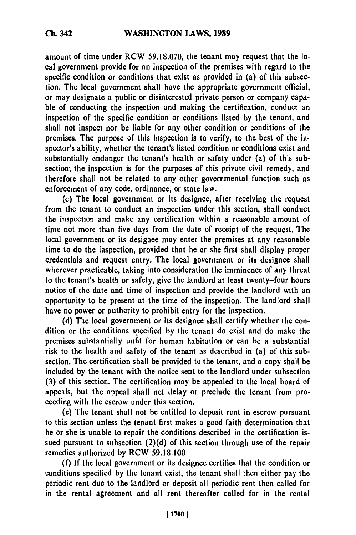amount of time under RCW **59.18.070,** the tenant may request that the local government provide for an inspection of the premises with regard to the specific condition or conditions that exist as provided in (a) of this subsection. The local government shall have the appropriate government official, or may designate a public or disinterested private person or company capable of conducting the inspection and making the certification, conduct an inspection of the specific condition or conditions listed **by** the tenant, and shall not inspect nor be liable for any other condition or conditions of the premises. The purpose of this inspection is to verify, to the best of the inspector's ability, whether the tenant's listed condition or conditions exist and substantially endanger the tenant's health or safety under (a) of this subsection; the inspection is for the purposes of this private civil remedy, and therefore shall not be related to any other governmental function such as enforcement of any code, ordinance, or state law.

(c) The local government or its designee, after receiving the request from the tenant to conduct an inspection under this section, shall conduct the inspection and make any certification within a reasonable amount of time not more than five days from the date of receipt of the request. The local government or its designee may enter the premises at any reasonable time to do the inspection, provided that he or she first shall display proper credentials and request entry. The local government or its designee shall whenever practicable, taking into consideration the imminence of any threat to the tenant's health or safety, give the landlord at least twenty-four hours notice of the date and time of inspection and provide the landlord with an opportunity to be present at the time of the inspection. The landlord shall have no power or authority to prohibit entry for the inspection.

**(d)** The local government or its designee shall certify whether the condition or the conditions specified **by** the tenant do exist and do make the premises substantially unfit for human habitation or can be a substantial risk to the health and safety of the tenant as described in (a) of this subsection. The certification shall be provided to the tenant, and a copy shall be included **by** the tenant with the notice sent to the landlord under subsection **(3)** of this section. The certification may be appealed to the local board of appeals, but the appeal shall not delay or preclude the tenant from proceeding with the escrow under this section.

(e) The tenant shall not be entitled to deposit rent in escrow pursuant to this section unless the tenant first makes a good faith determination that he or she is unable to repair the conditions described in the certification issued pursuant to subsection **(2)(d)** of this section through use of the repair remedies authorized **by** RCW **59.18.100**

**(f) If** the local government or its designee certifies that the condition or conditions specified **by** the tenant exist, the tenant shall then either pay the periodic rent due to the landlord or deposit all periodic rent then called for in the rental agreement and all rent thereafter called for in the rental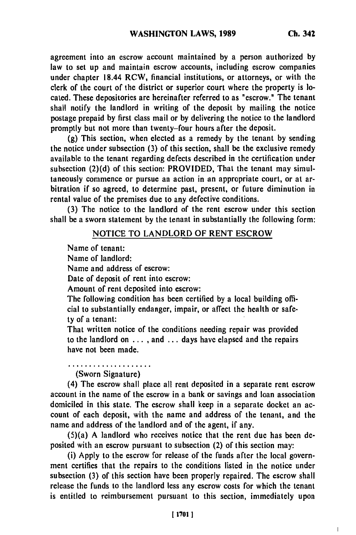agreement into an escrow account maintained **by** a person authorized **by** law to set up and maintain escrow accounts, including escrow companies under chapter 18.44 RCW, financial institutions, or attorneys, or with the clerk of the court of the district or superior court where the property is located. These depositories are hereinafter referred to as "escrow." The tenant shall notify the landlord in writing of the deposit **by** mailing the notice postage prepaid **by** first class mail or **by** delivering the notice to the landlord promptly but not more than twenty-four hours after the deposit.

**(g)** This section, when elected as a remedy **by** the tenant **by** sending the notice under subsection **(3)** of this section, shall be the exclusive remedy available to the tenant regarding defects described in the certification under subsection **(2)(d)** of this section: PROVIDED, That the tenant may simultaneously commence or pursue an action in an appropriate court, or at arbitration if so agreed, to determine past, present, or future diminution in rental value of the premises due to any defective conditions.

**(3)** The notice to the landlord of the rent escrow under this section shall be a sworn statement **by** the tenant in substantially the following form:

# **NOTICE TO LANDLORD OF RENT** ESCROW

Name of tenant:

Name of landlord:

Name and address of escrow:

Date of deposit of rent into escrow:

Amount of rent deposited into escrow:

The following condition has been certified **by** a local building official to substantially endanger, impair, or affect the health or safety of a tenant:

That written notice of the conditions needing repair was provided to the landlord on . **. . ,** and ... days have elapsed and the repairs have not been made.

(Sworn Signature)

(4) The escrow shall place all rent deposited in a separate rent escrow account in the name of the escrow in a bank or savings and loan association domiciled in this state. The escrow shall keep in a separate docket an account of each deposit, with the name and address of the tenant, and the name and address of the landlord and of the agent, if any.

(5)(a) A landlord who receives notice that the rent due has been deposited with an escrow pursuant to subsection (2) of this section may:

(i) Apply to the escrow for release of the funds after the local government certifies that the repairs to the conditions listed in the notice under subsection **(3)** of this section have been properly repaired. The escrow shall release the funds to the landlord less any escrow costs for which the tenant is entitled to reimbursement pursuant to this section, immediately upon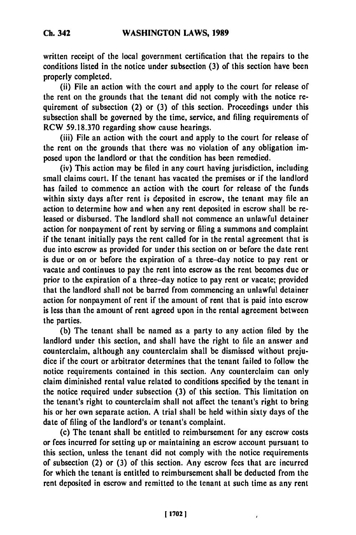written receipt of the local government certification that the repairs to the conditions listed in the notice under subsection **(3)** of this section have been properly completed.

(ii) File an action with the court and apply to the court for release of the rent on the grounds that the tenant did not comply with the notice requirement of subsection (2) or **(3)** of this section. Proceedings under this subsection shall be governed **by** the time, service, and filing requirements of RCW **59.18.370** regarding show cause hearings.

(iii) File an action with the court and apply to the court for release of the rent on the grounds that there was no violation of any obligation imposed upon the landlord or that the condition has been remedied.

(iv) This action may be filed in any court having jurisdiction, including small claims court. **If** the tenant has vacated the premises or if the landlord has failed to commence an action with the court for release of the funds within sixty days after rent is deposited in escrow, the tenant may file an action to determine how and when any rent deposited in escrow shall be released or disbursed. The landlord shall not commence an unlawful detainer action for nonpayment of rent **by** serving or filing a summons and complaint if the tenant initially pays the rent called for in the rental agreement that is due into escrow as provided for under this section on or before the date rent is due or on or before the expiration of a three-day notice to pay rent or vacate and continues to pay the rent into escrow as the rent becomes due or prior to the expiration of a three-day notice to pay rent or vacate; provided that the landlord shall not be barred from commencing an unlawful detainer action for nonpayment of rent if the amount of rent that is paid into escrow is less than the amount of rent agreed upon in the rental agreement between the parties.

**(b)** The tenant shall be named as a party to any action filed **by** the landlord under this section, and shall have the right to file an answer and counterclaim, although any counterclaim shall be dismissed without prejudice if the court or arbitrator determines that the tenant failed to follow the notice requirements contained in this section. Any counterclaim can only claim diminished rental value related to conditions specified **by** the tenant in the notice required under subsection **(3)** of this section. This limitation on the tenant's right to counterclaim shall not affect the tenant's right to bring his or her own separate action. A trial shall be held within sixty days of the date of filing of the landlord's or tenant's complaint.

(c) The tenant shall be entitled to reimbursement for any escrow costs or fees incurred for setting up or maintaining an escrow account pursuant to this section, unless the tenant did not comply with the notice requirements of subsection (2) or **(3)** of this section. Any escrow fees that are incurred for which the tenant is entitled to reimbursement shall be deducted from the rent deposited in escrow and remitted to the tenant at such time as any rent